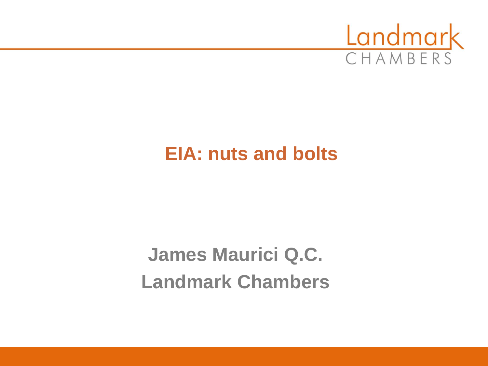

#### **EIA: nuts and bolts**

**James Maurici Q.C. Landmark Chambers**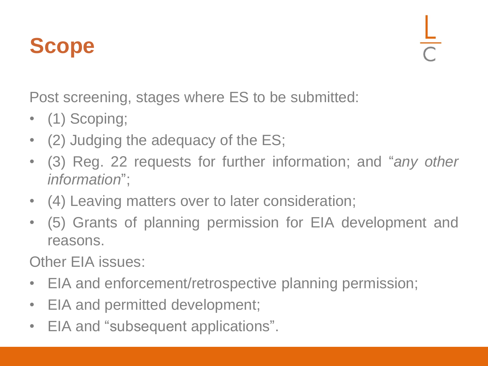#### **Scope**

Post screening, stages where ES to be submitted:

- (1) Scoping;
- (2) Judging the adequacy of the ES;
- (3) Reg. 22 requests for further information; and "*any other information*";
- (4) Leaving matters over to later consideration;
- (5) Grants of planning permission for EIA development and reasons.

Other EIA issues:

- EIA and enforcement/retrospective planning permission;
- EIA and permitted development;
- EIA and "subsequent applications".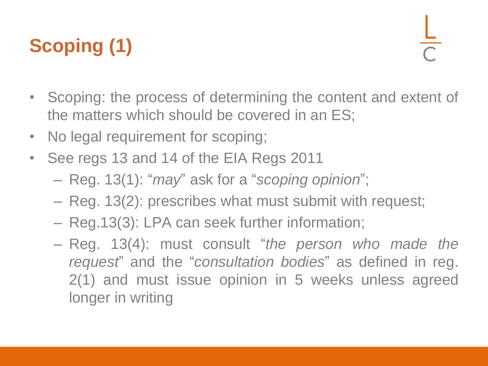### **Scoping (1)**

- Scoping: the process of determining the content and extent of the matters which should be covered in an ES;
- No legal requirement for scoping;
- See regs 13 and 14 of the EIA Regs 2011
	- Reg. 13(1): "*may*" ask for a "*scoping opinion*";
	- Reg. 13(2): prescribes what must submit with request;
	- Reg.13(3): LPA can seek further information;
	- Reg. 13(4): must consult "*the person who made the request*" and the "*consultation bodies*" as defined in reg. 2(1) and must issue opinion in 5 weeks unless agreed longer in writing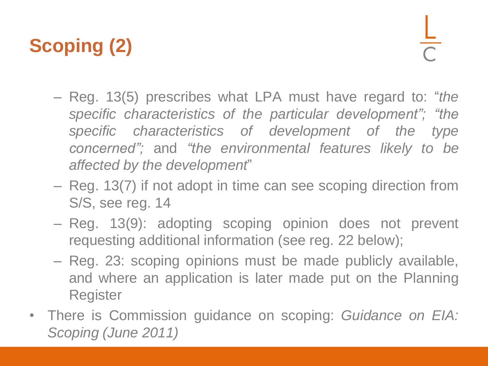### **Scoping (2)**

- Reg. 13(5) prescribes what LPA must have regard to: "*the specific characteristics of the particular development"; "the specific characteristics of development of the type concerned";* and *"the environmental features likely to be affected by the development*"
- Reg. 13(7) if not adopt in time can see scoping direction from S/S, see reg. 14
- Reg. 13(9): adopting scoping opinion does not prevent requesting additional information (see reg. 22 below);
- Reg. 23: scoping opinions must be made publicly available, and where an application is later made put on the Planning Register
- There is Commission guidance on scoping: *Guidance on EIA: Scoping (June 2011)*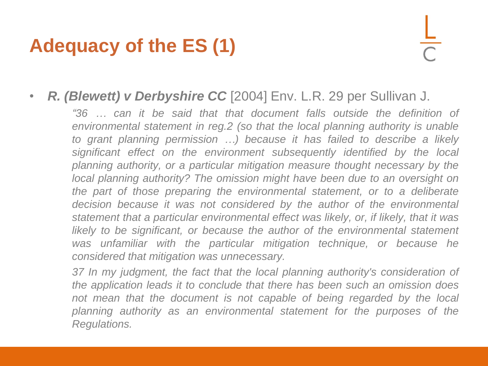#### **Adequacy of the ES (1)**

#### • *R. (Blewett) v Derbyshire CC* [2004] Env. L.R. 29 per Sullivan J.

*"36 … can it be said that that document falls outside the definition of environmental statement in reg.2 (so that the local planning authority is unable to grant planning permission …) because it has failed to describe a likely significant effect on the environment subsequently identified by the local planning authority, or a particular mitigation measure thought necessary by the local planning authority? The omission might have been due to an oversight on the part of those preparing the environmental statement, or to a deliberate decision because it was not considered by the author of the environmental statement that a particular environmental effect was likely, or, if likely, that it was likely to be significant, or because the author of the environmental statement was unfamiliar with the particular mitigation technique, or because he considered that mitigation was unnecessary.*

*37 In my judgment, the fact that the local planning authority's consideration of the application leads it to conclude that there has been such an omission does not mean that the document is not capable of being regarded by the local planning authority as an environmental statement for the purposes of the Regulations.*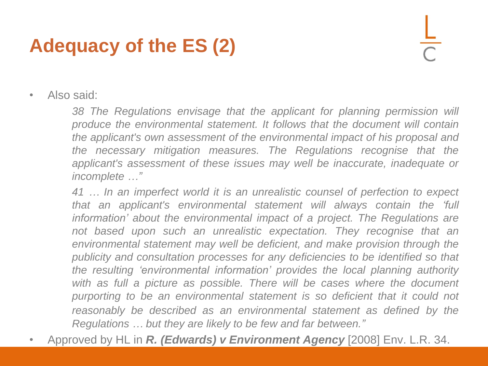#### **Adequacy of the ES (2)**

• Also said:

*38 The Regulations envisage that the applicant for planning permission will produce the environmental statement. It follows that the document will contain the applicant's own assessment of the environmental impact of his proposal and the necessary mitigation measures. The Regulations recognise that the applicant's assessment of these issues may well be inaccurate, inadequate or incomplete …"*

*41 … In an imperfect world it is an unrealistic counsel of perfection to expect that an applicant's environmental statement will always contain the 'full information' about the environmental impact of a project. The Regulations are not based upon such an unrealistic expectation. They recognise that an environmental statement may well be deficient, and make provision through the publicity and consultation processes for any deficiencies to be identified so that the resulting 'environmental information' provides the local planning authority with as full a picture as possible. There will be cases where the document purporting to be an environmental statement is so deficient that it could not reasonably be described as an environmental statement as defined by the Regulations … but they are likely to be few and far between."*

• Approved by HL in *R. (Edwards) v Environment Agency* [2008] Env. L.R. 34.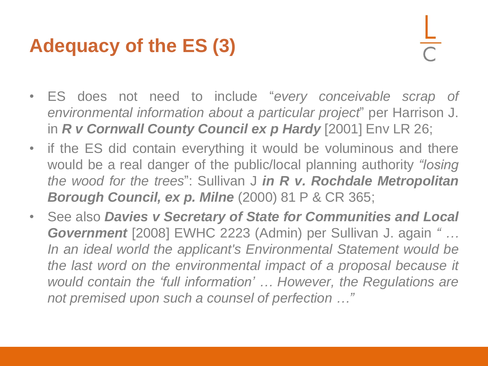#### **Adequacy of the ES (3)**

- ES does not need to include "*every conceivable scrap of environmental information about a particular project*" per Harrison J. in *R v Cornwall County Council ex p Hardy* [2001] Env LR 26;
- if the ES did contain everything it would be voluminous and there would be a real danger of the public/local planning authority *"losing the wood for the trees*": Sullivan J *in R v. Rochdale Metropolitan Borough Council, ex p. Milne* (2000) 81 P & CR 365;
- See also *Davies v Secretary of State for Communities and Local Government* [2008] EWHC 2223 (Admin) per Sullivan J. again *" … In an ideal world the applicant's Environmental Statement would be the last word on the environmental impact of a proposal because it would contain the 'full information' … However, the Regulations are not premised upon such a counsel of perfection …"*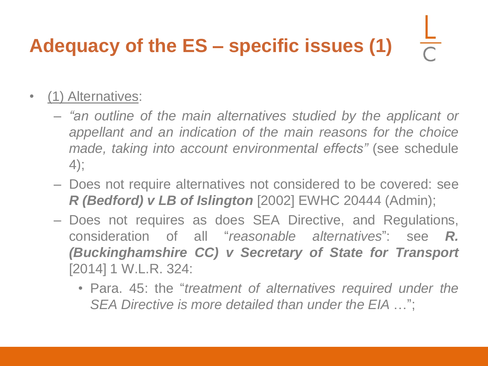# **Adequacy of the ES – specific issues (1)**

- (1) Alternatives:
	- *"an outline of the main alternatives studied by the applicant or appellant and an indication of the main reasons for the choice made, taking into account environmental effects"* (see schedule 4);
	- Does not require alternatives not considered to be covered: see *R (Bedford) v LB of Islington* [2002] EWHC 20444 (Admin);
	- Does not requires as does SEA Directive, and Regulations, consideration of all "*reasonable alternatives*": see *R. (Buckinghamshire CC) v Secretary of State for Transport* [2014] 1 W.L.R. 324:
		- Para. 45: the "*treatment of alternatives required under the SEA Directive is more detailed than under the EIA* …";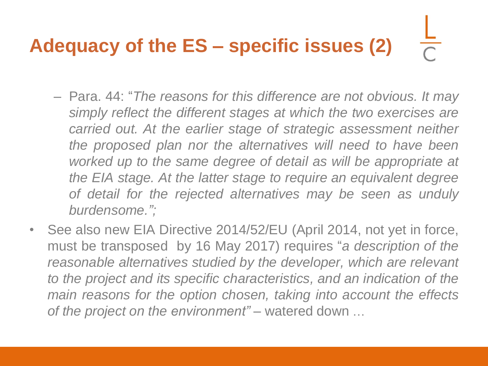# **Adequacy of the ES – specific issues (2)**

- Para. 44: "*The reasons for this difference are not obvious. It may simply reflect the different stages at which the two exercises are carried out. At the earlier stage of strategic assessment neither the proposed plan nor the alternatives will need to have been worked up to the same degree of detail as will be appropriate at the EIA stage. At the latter stage to require an equivalent degree of detail for the rejected alternatives may be seen as unduly burdensome.";*
- See also new EIA Directive 2014/52/EU (April 2014, not yet in force, must be transposed by 16 May 2017) requires "*a description of the reasonable alternatives studied by the developer, which are relevant to the project and its specific characteristics, and an indication of the main reasons for the option chosen, taking into account the effects of the project on the environment"* – watered down …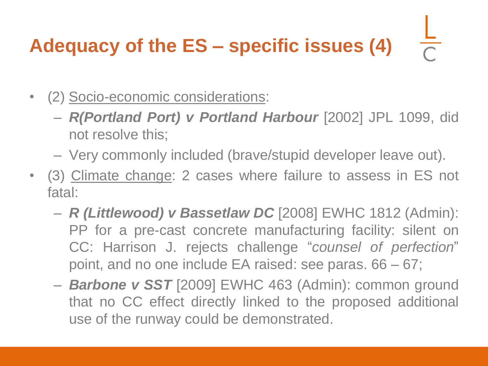## **Adequacy of the ES – specific issues (4)**

- (2) Socio-economic considerations:
	- *R(Portland Port) v Portland Harbour* [2002] JPL 1099, did not resolve this;
	- Very commonly included (brave/stupid developer leave out).
- (3) Climate change: 2 cases where failure to assess in ES not fatal:
	- *R (Littlewood) v Bassetlaw DC* [2008] EWHC 1812 (Admin): PP for a pre-cast concrete manufacturing facility: silent on CC: Harrison J. rejects challenge "*counsel of perfection*" point, and no one include EA raised: see paras. 66 – 67;
	- *Barbone v SST* [2009] EWHC 463 (Admin): common ground that no CC effect directly linked to the proposed additional use of the runway could be demonstrated.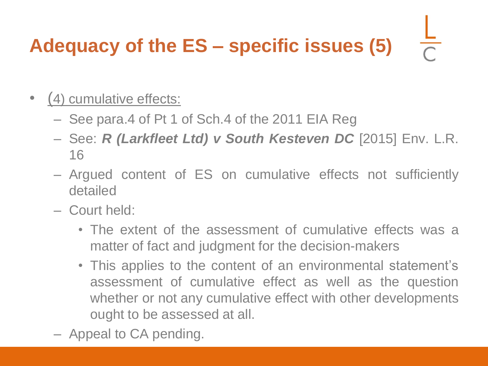## **Adequacy of the ES – specific issues (5)**

- (4) cumulative effects:
	- See para.4 of Pt 1 of Sch.4 of the 2011 EIA Reg
	- See: *R (Larkfleet Ltd) v South Kesteven DC* [2015] Env. L.R. 16
	- Argued content of ES on cumulative effects not sufficiently detailed
	- Court held:
		- The extent of the assessment of cumulative effects was a matter of fact and judgment for the decision-makers
		- This applies to the content of an environmental statement's assessment of cumulative effect as well as the question whether or not any cumulative effect with other developments ought to be assessed at all.
	- Appeal to CA pending.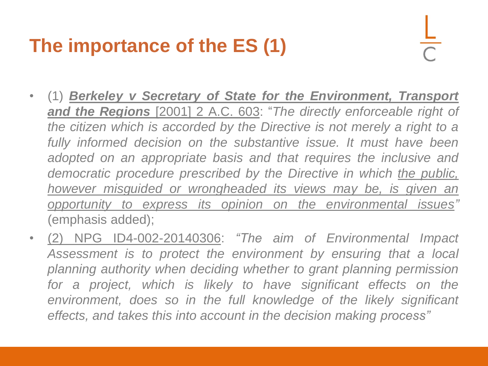#### **The importance of the ES (1)**

- (1) *Berkeley v Secretary of State for the Environment, Transport and the Regions* [2001] 2 A.C. 603: "*The directly enforceable right of the citizen which is accorded by the Directive is not merely a right to a fully informed decision on the substantive issue. It must have been adopted on an appropriate basis and that requires the inclusive and democratic procedure prescribed by the Directive in which the public, however misguided or wrongheaded its views may be, is given an opportunity to express its opinion on the environmental issues"* (emphasis added);
- (2) NPG ID4-002-20140306: *"The aim of Environmental Impact Assessment is to protect the environment by ensuring that a local planning authority when deciding whether to grant planning permission for a project, which is likely to have significant effects on the environment, does so in the full knowledge of the likely significant effects, and takes this into account in the decision making process"*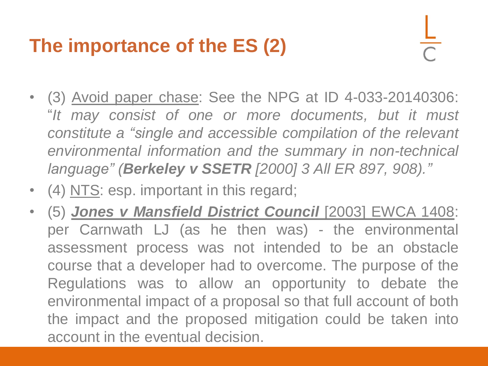#### **The importance of the ES (2)**

- (3) Avoid paper chase: See the NPG at ID 4-033-20140306: "*It may consist of one or more documents, but it must constitute a "single and accessible compilation of the relevant environmental information and the summary in non-technical language" (Berkeley v SSETR [2000] 3 All ER 897, 908)."*
- (4) NTS: esp. important in this regard;
- (5) *Jones v Mansfield District Council* [2003] EWCA 1408: per Carnwath LJ (as he then was) - the environmental assessment process was not intended to be an obstacle course that a developer had to overcome. The purpose of the Regulations was to allow an opportunity to debate the environmental impact of a proposal so that full account of both the impact and the proposed mitigation could be taken into account in the eventual decision.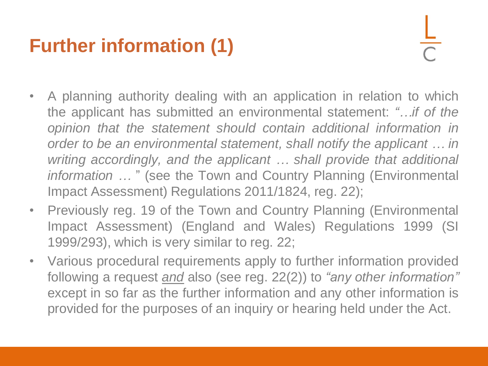#### **Further information (1)**

- A planning authority dealing with an application in relation to which the applicant has submitted an environmental statement: *"…if of the opinion that the statement should contain additional information in order to be an environmental statement, shall notify the applicant … in writing accordingly, and the applicant … shall provide that additional information …* " (see the Town and Country Planning (Environmental Impact Assessment) Regulations 2011/1824, reg. 22);
- Previously reg. 19 of the Town and Country Planning (Environmental Impact Assessment) (England and Wales) Regulations 1999 (SI 1999/293), which is very similar to reg. 22;
- Various procedural requirements apply to further information provided following a request *and* also (see reg. 22(2)) to *"any other information"* except in so far as the further information and any other information is provided for the purposes of an inquiry or hearing held under the Act.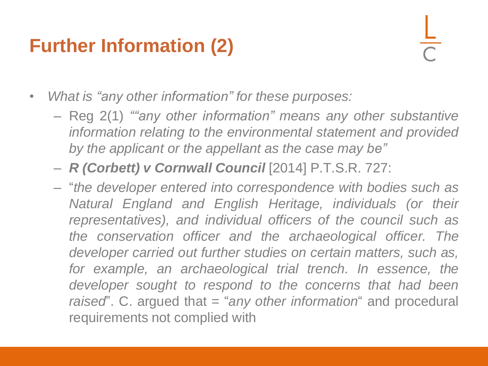#### **Further Information (2)**

• *What is "any other information" for these purposes:*

- Reg 2(1) *""any other information" means any other substantive information relating to the environmental statement and provided by the applicant or the appellant as the case may be"*
- *R (Corbett) v Cornwall Council* [2014] P.T.S.R. 727:
- "*the developer entered into correspondence with bodies such as Natural England and English Heritage, individuals (or their representatives), and individual officers of the council such as the conservation officer and the archaeological officer. The developer carried out further studies on certain matters, such as, for example, an archaeological trial trench. In essence, the developer sought to respond to the concerns that had been raised*". C. argued that = "*any other information*" and procedural requirements not complied with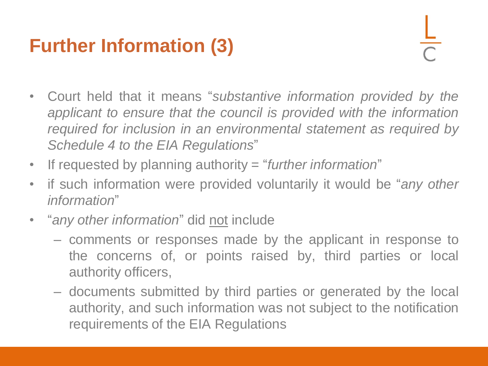#### **Further Information (3)**

- Court held that it means "*substantive information provided by the applicant to ensure that the council is provided with the information required for inclusion in an environmental statement as required by Schedule 4 to the EIA Regulations*"
- If requested by planning authority = "*further information*"
- if such information were provided voluntarily it would be "*any other information*"
- "*any other information*" did not include
	- comments or responses made by the applicant in response to the concerns of, or points raised by, third parties or local authority officers,
	- documents submitted by third parties or generated by the local authority, and such information was not subject to the notification requirements of the EIA Regulations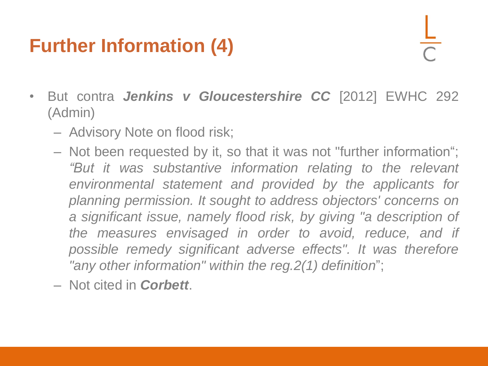#### **Further Information (4)**

- But contra *Jenkins v Gloucestershire CC* [2012] EWHC 292 (Admin)
	- Advisory Note on flood risk;
	- Not been requested by it, so that it was not "further information"; *"But it was substantive information relating to the relevant environmental statement and provided by the applicants for planning permission. It sought to address objectors' concerns on a significant issue, namely flood risk, by giving "a description of the measures envisaged in order to avoid, reduce, and if possible remedy significant adverse effects". It was therefore "any other information" within the reg.2(1) definition*";
	- Not cited in *Corbett*.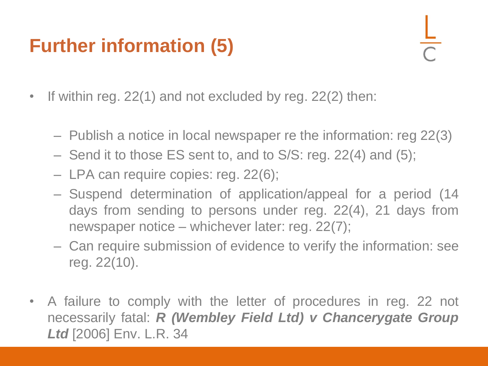#### **Further information (5)**

- If within reg. 22(1) and not excluded by reg. 22(2) then:
	- Publish a notice in local newspaper re the information: reg 22(3)
	- Send it to those ES sent to, and to S/S: reg. 22(4) and (5);
	- LPA can require copies: reg. 22(6);
	- Suspend determination of application/appeal for a period (14 days from sending to persons under reg. 22(4), 21 days from newspaper notice – whichever later: reg. 22(7);
	- Can require submission of evidence to verify the information: see reg. 22(10).
- A failure to comply with the letter of procedures in reg. 22 not necessarily fatal: *R (Wembley Field Ltd) v Chancerygate Group Ltd* [2006] Env. L.R. 34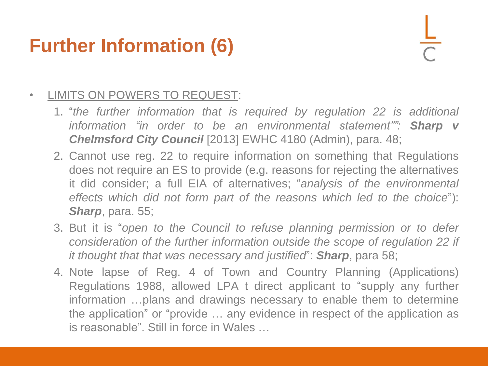#### **Further Information (6)**

#### • LIMITS ON POWERS TO REQUEST:

- 1. "*the further information that is required by regulation 22 is additional information "in order to be an environmental statement"": Sharp v Chelmsford City Council* [2013] EWHC 4180 (Admin), para. 48;
- 2. Cannot use reg. 22 to require information on something that Regulations does not require an ES to provide (e.g. reasons for rejecting the alternatives it did consider; a full EIA of alternatives; "*analysis of the environmental effects which did not form part of the reasons which led to the choice*"): *Sharp*, para. 55;
- 3. But it is "*open to the Council to refuse planning permission or to defer consideration of the further information outside the scope of regulation 22 if it thought that that was necessary and justified*": *Sharp*, para 58;
- 4. Note lapse of Reg. 4 of Town and Country Planning (Applications) Regulations 1988, allowed LPA t direct applicant to "supply any further information …plans and drawings necessary to enable them to determine the application" or "provide … any evidence in respect of the application as is reasonable". Still in force in Wales …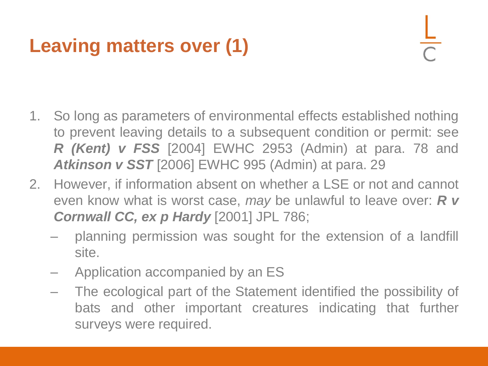#### **Leaving matters over (1)**

- 1. So long as parameters of environmental effects established nothing to prevent leaving details to a subsequent condition or permit: see *R (Kent) v FSS* [2004] EWHC 2953 (Admin) at para. 78 and *Atkinson v SST* [2006] EWHC 995 (Admin) at para. 29
- 2. However, if information absent on whether a LSE or not and cannot even know what is worst case, *may* be unlawful to leave over: *R v Cornwall CC, ex p Hardy* [2001] JPL 786;
	- planning permission was sought for the extension of a landfill site.
	- Application accompanied by an ES
	- The ecological part of the Statement identified the possibility of bats and other important creatures indicating that further surveys were required.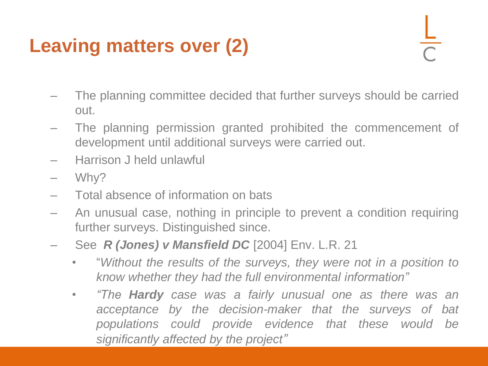#### **Leaving matters over (2)**

- The planning committee decided that further surveys should be carried out.
- The planning permission granted prohibited the commencement of development until additional surveys were carried out.
- Harrison J held unlawful
- Why?
- Total absence of information on bats
- An unusual case, nothing in principle to prevent a condition requiring further surveys. Distinguished since.
- See *R (Jones) v Mansfield DC* [2004] Env. L.R. 21
	- "*Without the results of the surveys, they were not in a position to know whether they had the full environmental information"*
	- *"The Hardy case was a fairly unusual one as there was an acceptance by the decision-maker that the surveys of bat populations could provide evidence that these would be significantly affected by the project"*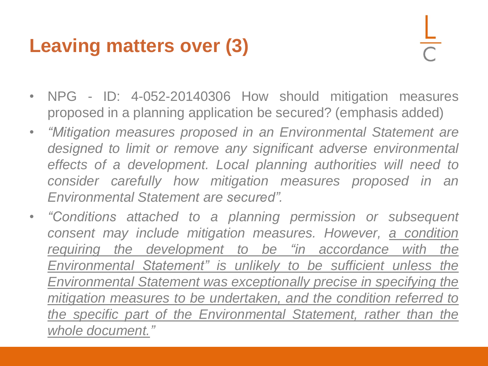#### **Leaving matters over (3)**

- NPG ID: 4-052-20140306 How should mitigation measures proposed in a planning application be secured? (emphasis added)
- *"Mitigation measures proposed in an Environmental Statement are designed to limit or remove any significant adverse environmental effects of a development. Local planning authorities will need to consider carefully how mitigation measures proposed in an Environmental Statement are secured".*
- *"Conditions attached to a planning permission or subsequent consent may include mitigation measures. However, a condition requiring the development to be "in accordance with the Environmental Statement" is unlikely to be sufficient unless the Environmental Statement was exceptionally precise in specifying the mitigation measures to be undertaken, and the condition referred to the specific part of the Environmental Statement, rather than the whole document."*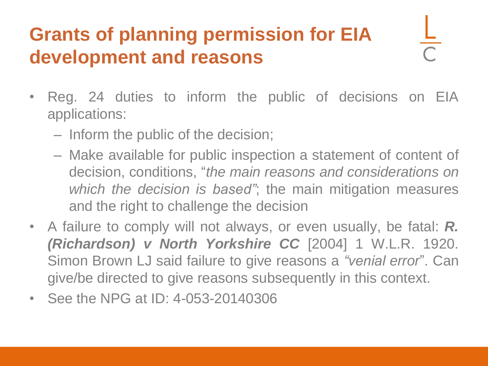#### **Grants of planning permission for EIA development and reasons**

- Reg. 24 duties to inform the public of decisions on EIA applications:
	- Inform the public of the decision;
	- Make available for public inspection a statement of content of decision, conditions, "*the main reasons and considerations on which the decision is based"*; the main mitigation measures and the right to challenge the decision
- A failure to comply will not always, or even usually, be fatal: *R. (Richardson) v North Yorkshire CC* [2004] 1 W.L.R. 1920. Simon Brown LJ said failure to give reasons a *"venial error*". Can give/be directed to give reasons subsequently in this context.
- See the NPG at ID: 4-053-20140306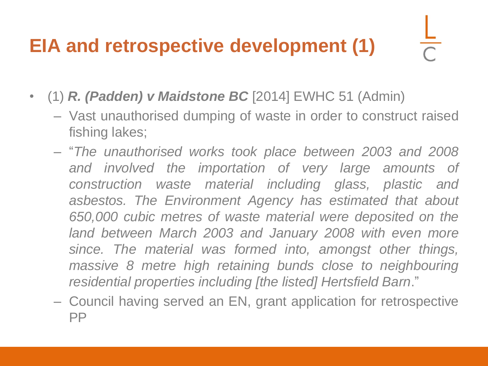#### **EIA and retrospective development (1)**

- (1) *R. (Padden) v Maidstone BC* [2014] EWHC 51 (Admin)
	- Vast unauthorised dumping of waste in order to construct raised fishing lakes;
	- "*The unauthorised works took place between 2003 and 2008 and involved the importation of very large amounts of construction waste material including glass, plastic and asbestos. The Environment Agency has estimated that about 650,000 cubic metres of waste material were deposited on the land between March 2003 and January 2008 with even more since. The material was formed into, amongst other things, massive 8 metre high retaining bunds close to neighbouring residential properties including [the listed] Hertsfield Barn*."
	- Council having served an EN, grant application for retrospective PP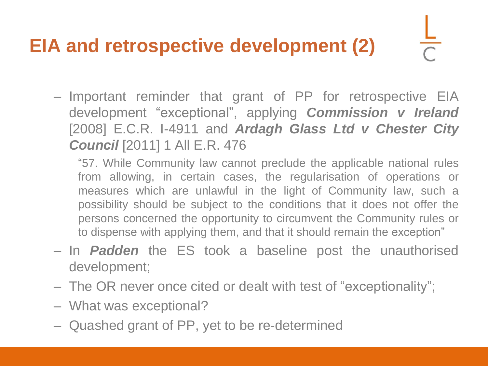#### **EIA and retrospective development (2)**

– Important reminder that grant of PP for retrospective EIA development "exceptional", applying *Commission v Ireland* [2008] E.C.R. I-4911 and *Ardagh Glass Ltd v Chester City Council* [2011] 1 All E.R. 476

"57. While Community law cannot preclude the applicable national rules from allowing, in certain cases, the regularisation of operations or measures which are unlawful in the light of Community law, such a possibility should be subject to the conditions that it does not offer the persons concerned the opportunity to circumvent the Community rules or to dispense with applying them, and that it should remain the exception"

- In *Padden* the ES took a baseline post the unauthorised development;
- The OR never once cited or dealt with test of "exceptionality";
- What was exceptional?
- Quashed grant of PP, yet to be re-determined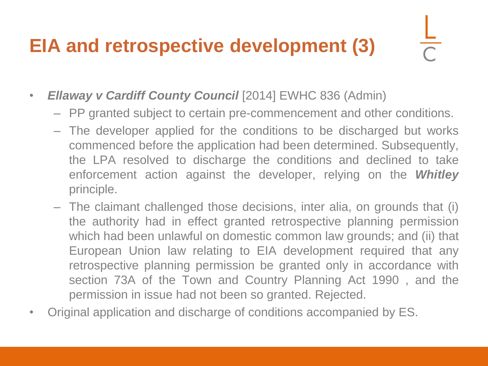#### **EIA and retrospective development (3)**

- *Ellaway v Cardiff County Council* [2014] EWHC 836 (Admin)
	- PP granted subject to certain pre-commencement and other conditions.
	- The developer applied for the conditions to be discharged but works commenced before the application had been determined. Subsequently, the LPA resolved to discharge the conditions and declined to take enforcement action against the developer, relying on the *Whitley* principle.
	- The claimant challenged those decisions, inter alia, on grounds that (i) the authority had in effect granted retrospective planning permission which had been unlawful on domestic common law grounds; and (ii) that European Union law relating to EIA development required that any retrospective planning permission be granted only in accordance with section 73A of the Town and Country Planning Act 1990 , and the permission in issue had not been so granted. Rejected.
- Original application and discharge of conditions accompanied by ES.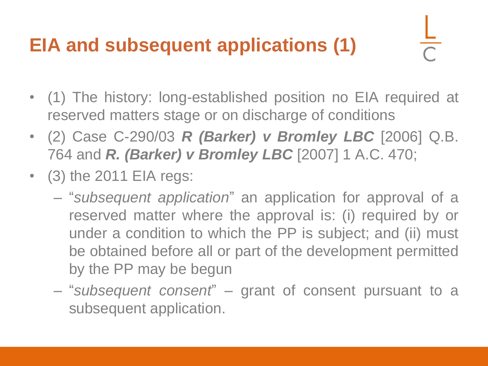#### **EIA and subsequent applications (1)**

- (1) The history: long-established position no EIA required at reserved matters stage or on discharge of conditions
- (2) Case C-290/03 *R (Barker) v Bromley LBC* [2006] Q.B. 764 and *R. (Barker) v Bromley LBC* [2007] 1 A.C. 470;
- (3) the 2011 EIA regs:
	- "*subsequent application*" an application for approval of a reserved matter where the approval is: (i) required by or under a condition to which the PP is subject; and (ii) must be obtained before all or part of the development permitted by the PP may be begun
	- "*subsequent consent*" grant of consent pursuant to a subsequent application.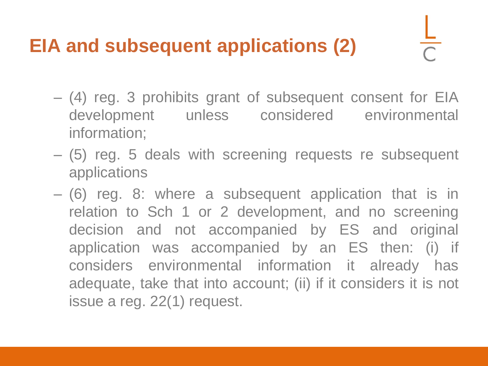#### **EIA and subsequent applications (2)**

- (4) reg. 3 prohibits grant of subsequent consent for EIA development unless considered environmental information;
- (5) reg. 5 deals with screening requests re subsequent applications
- (6) reg. 8: where a subsequent application that is in relation to Sch 1 or 2 development, and no screening decision and not accompanied by ES and original application was accompanied by an ES then: (i) if considers environmental information it already has adequate, take that into account; (ii) if it considers it is not issue a reg. 22(1) request.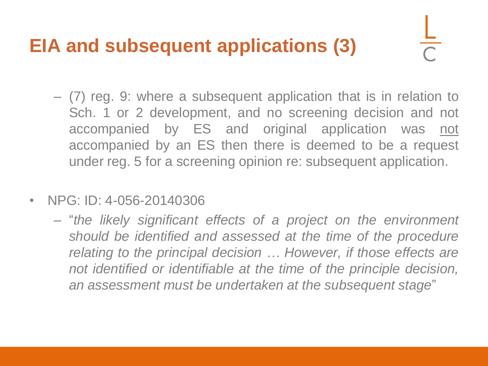#### **EIA and subsequent applications (3)**

- (7) reg. 9: where a subsequent application that is in relation to Sch. 1 or 2 development, and no screening decision and not accompanied by ES and original application was not accompanied by an ES then there is deemed to be a request under reg. 5 for a screening opinion re: subsequent application.
- NPG: ID: 4-056-20140306
	- "*the likely significant effects of a project on the environment should be identified and assessed at the time of the procedure relating to the principal decision … However, if those effects are not identified or identifiable at the time of the principle decision, an assessment must be undertaken at the subsequent stage*"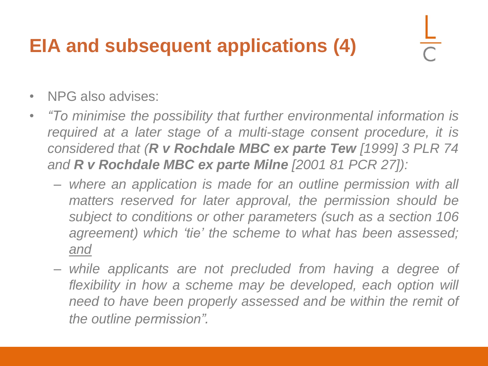#### **EIA and subsequent applications (4)**

- NPG also advises:
- *"To minimise the possibility that further environmental information is required at a later stage of a multi-stage consent procedure, it is considered that (R v Rochdale MBC ex parte Tew [1999] 3 PLR 74 and R v Rochdale MBC ex parte Milne [2001 81 PCR 27]):*
	- *where an application is made for an outline permission with all matters reserved for later approval, the permission should be subject to conditions or other parameters (such as a section 106 agreement) which 'tie' the scheme to what has been assessed; and*
	- *while applicants are not precluded from having a degree of flexibility in how a scheme may be developed, each option will need to have been properly assessed and be within the remit of the outline permission".*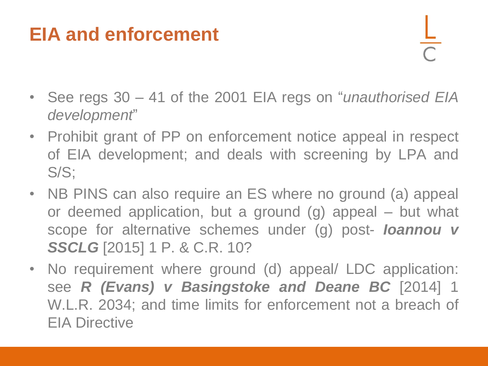#### **EIA and enforcement**

- See regs 30 41 of the 2001 EIA regs on "*unauthorised EIA development*"
- Prohibit grant of PP on enforcement notice appeal in respect of EIA development; and deals with screening by LPA and S/S;
- NB PINS can also require an ES where no ground (a) appeal or deemed application, but a ground (g) appeal – but what scope for alternative schemes under (g) post- *Ioannou v SSCLG* [2015] 1 P. & C.R. 10?
- No requirement where ground (d) appeal/ LDC application: see *R (Evans) v Basingstoke and Deane BC* [2014] 1 W.L.R. 2034; and time limits for enforcement not a breach of EIA Directive